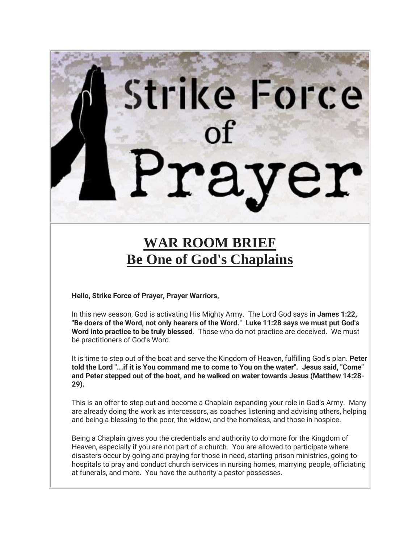# Strike Force

# **WAR ROOM BRIEF Be One of God's Chaplains**

**Hello, Strike Force of Prayer, Prayer Warriors,** 

In this new season, God is activating His Mighty Army. The Lord God says **in James 1:22, "Be doers of the Word, not only hearers of the Word.**" **Luke 11:28 says we must put God's Word into practice to be truly blessed**. Those who do not practice are deceived. We must be practitioners of God's Word.

It is time to step out of the boat and serve the Kingdom of Heaven, fulfilling God's plan. **Peter told the Lord "...if it is You command me to come to You on the water". Jesus said, "Come" and Peter stepped out of the boat, and he walked on water towards Jesus (Matthew 14:28- 29).**

This is an offer to step out and become a Chaplain expanding your role in God's Army. Many are already doing the work as intercessors, as coaches listening and advising others, helping and being a blessing to the poor, the widow, and the homeless, and those in hospice.

Being a Chaplain gives you the credentials and authority to do more for the Kingdom of Heaven, especially if you are not part of a church. You are allowed to participate where disasters occur by going and praying for those in need, starting prison ministries, going to hospitals to pray and conduct church services in nursing homes, marrying people, officiating at funerals, and more. You have the authority a pastor possesses.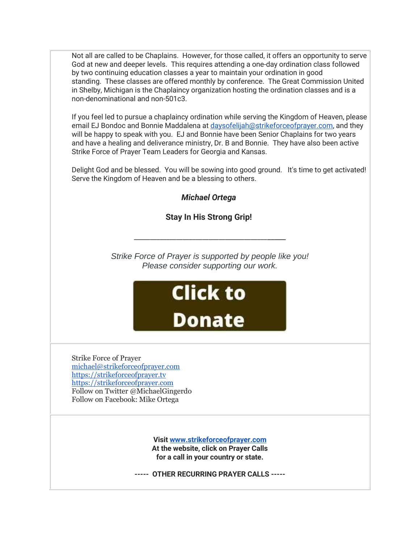Not all are called to be Chaplains. However, for those called, it offers an opportunity to serve God at new and deeper levels. This requires attending a one-day ordination class followed by two continuing education classes a year to maintain your ordination in good standing. These classes are offered monthly by conference. The Great Commission United in Shelby, Michigan is the Chaplaincy organization hosting the ordination classes and is a non-denominational and non-501c3.

If you feel led to pursue a chaplaincy ordination while serving the Kingdom of Heaven, please email EJ Bondoc and Bonnie Maddalena at [daysofelijah@strikeforceofprayer.com,](mailto:daysofelijah@strikeforceofprayer.com) and they will be happy to speak with you. EJ and Bonnie have been Senior Chaplains for two years and have a healing and deliverance ministry, Dr. B and Bonnie. They have also been active Strike Force of Prayer Team Leaders for Georgia and Kansas.

Delight God and be blessed. You will be sowing into good ground. It's time to get activated! Serve the Kingdom of Heaven and be a blessing to others.

*Michael Ortega*

**Stay In His Strong Grip!**

\_\_\_\_\_\_\_\_\_\_\_\_\_\_\_\_\_\_\_\_\_\_\_\_\_\_\_\_\_\_\_\_\_\_\_\_\_\_\_\_\_\_\_\_\_\_

*Strike Force of Prayer is supported by people like you! Please consider supporting our work.*



Strike Force of Prayer [michael@strikeforceofprayer.com](http://mailing.strikeforceofprayer.com/lt.php?tid=Kk4EVlEFVlBUAk8AUQhTSwZUB1ZOVgFSAxVeCFFXBARSVwRVUlZMUAUFW1IFB1dLAldbUU4AAQZTFQBcBlVMAldXB1BbUlMFV1IGTVJUB14LAAZVTgQGUgMVDAFWAUwIVFNTS1UFVVFQAQAAXVYCAg) [https://strikeforceofprayer.tv](https://strikeforceofprayer.tv/) [https://strikeforceofprayer.com](https://strikeforceofprayer.us17.list-manage.com/track/click?u=30e1fdc9ef72d2ad852be26e9&id=88763f3751&e=cf8e0c7e26) Follow on Twitter @MichaelGingerdo Follow on Facebook: Mike Ortega

> **Visit [www.strikeforceofprayer.com](http://mailing.strikeforceofprayer.com/lt.php?tid=Kk4CAgNVAgdSBU8GAQlXSwZTAwZODFUHCBVaDAABVQRWAlYCU1dMUAUFW1IFB1dLAldbUU4AAQZTFQBcBlVMAldXB1BbUlMFV1IGTVJUB14LAAZVTgQGUgMVDAFWAUwIVFNTS1UFVVFQAQAAXVYCAg) At the website, click on Prayer Calls for a call in your country or state.**

**----- OTHER RECURRING PRAYER CALLS -----**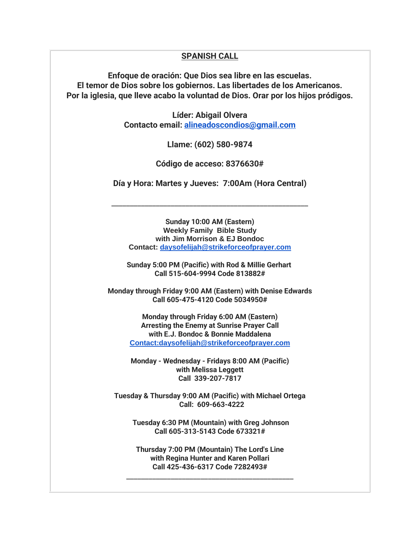# **SPANISH CALL**

**Enfoque de oración: Que Dios sea libre en las escuelas. El temor de Dios sobre los gobiernos. Las libertades de los Americanos. Por la iglesia, que lleve acabo la voluntad de Dios. Orar por los hijos pródigos.**

> **Líder: Abigail Olvera Contacto email: [alineadoscondios@gmail.com](mailto:alineadoscondios@gmail.com)**

> > **Llame: (602) 580-9874**

**Código de acceso: 8376630#**

**Día y Hora: Martes y Jueves: 7:00Am (Hora Central)**

\_\_\_\_\_\_\_\_\_\_\_\_\_\_\_\_\_\_\_\_\_\_\_\_\_\_\_\_\_\_\_\_\_\_\_\_\_\_\_\_\_\_\_\_\_\_\_\_\_\_\_\_\_

**Sunday 10:00 AM (Eastern) Weekly Family Bible Study with Jim Morrison & EJ Bondoc Contact: [daysofelijah@strikeforceofprayer.com](mailto:daysofelijah@strikeforceofprayer.com)**

**Sunday 5:00 PM (Pacific) with Rod & Millie Gerhart Call 515-604-9994 Code 813882#**

**Monday through Friday 9:00 AM (Eastern) with Denise Edwards Call 605-475-4120 Code 5034950#**

> **Monday through Friday 6:00 AM (Eastern) Arresting the Enemy at Sunrise Prayer Call with E.J. Bondoc & Bonnie Maddalena [Contact:daysofelijah@strikeforceofprayer.com](mailto:Contact%3Adaysofelijah@strikeforceofprayer.com)**

> **Monday - Wednesday - Fridays 8:00 AM (Pacific) with Melissa Leggett Call 339-207-7817**

**Tuesday & Thursday 9:00 AM (Pacific) with Michael Ortega Call: 609-663-4222**

**Tuesday 6:30 PM (Mountain) with Greg Johnson Call 605-313-5143 Code 673321#**

**Thursday 7:00 PM (Mountain) The Lord's Line with Regina Hunter and Karen Pollari Call 425-436-6317 Code 7282493#**

\_\_\_\_\_\_\_\_\_\_\_\_\_\_\_\_\_\_\_\_\_\_\_\_\_\_\_\_\_\_\_\_\_\_\_\_\_\_\_\_\_\_\_\_\_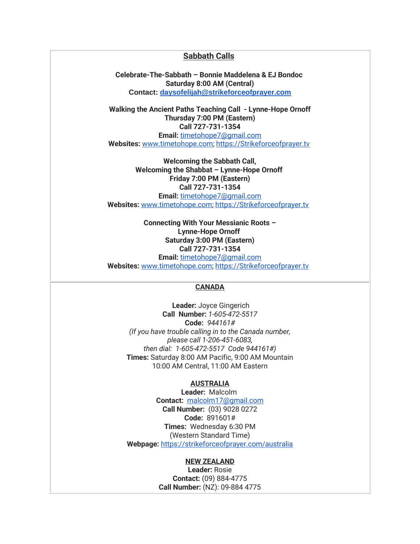## **Sabbath Calls**

**Celebrate-The-Sabbath – Bonnie Maddelena & EJ Bondoc Saturday 8:00 AM (Central) Contact: [daysofelijah@strikeforceofprayer.com](mailto:daysofelijah@strikeforceofprayer.com)**

**Walking the Ancient Paths Teaching Call - Lynne-Hope Ornoff Thursday 7:00 PM (Eastern) Call 727-731-1354 Email:** [timetohope7@gmail.com](mailto:timetohope7@gmail.com) **Websites:** [www.timetohope.com;](http://mailing.strikeforceofprayer.com/lt.php?tid=Kk5fUQMAU1AHUE8CVAEFSwZXAAZOVlQDABVbDFEHAgEEBlJeBFJMUAUFW1IFB1dLAldbUU4AAQZTFQBcBlVMAldXB1BbUlMFV1IGTVJUB14LAAZVTgQGUgMVDAFWAUwIVFNTS1UFVVFQAQAAXVYCAg) [https://Strikeforceofprayer.tv](https://strikeforceofprayer.tv/)

**Welcoming the Sabbath Call, Welcoming the Shabbat – Lynne-Hope Ornoff Friday 7:00 PM (Eastern) Call 727-731-1354 Email:** [timetohope7@gmail.com](mailto:timetohope7@gmail.com) **Websites:** [www.timetohope.com;](http://mailing.strikeforceofprayer.com/lt.php?tid=Kk5fUQMAU1AHUE8CVAEFSwZXAAZOVlQDABVbDFEHAgEEBlJeBFJMUAUFW1IFB1dLAldbUU4AAQZTFQBcBlVMAldXB1BbUlMFV1IGTVJUB14LAAZVTgQGUgMVDAFWAUwIVFNTS1UFVVFQAQAAXVYCAg) [https://Strikeforceofprayer.tv](https://strikeforceofprayer.tv/)

> **Connecting With Your Messianic Roots – Lynne-Hope Ornoff Saturday 3:00 PM (Eastern) Call 727-731-1354**

**Email:** [timetohope7@gmail.com](mailto:timetohope7@gmail.com) **Websites:** [www.timetohope.com;](http://mailing.strikeforceofprayer.com/lt.php?tid=Kk5fUQMAU1AHUE8CVAEFSwZXAAZOVlQDABVbDFEHAgEEBlJeBFJMUAUFW1IFB1dLAldbUU4AAQZTFQBcBlVMAldXB1BbUlMFV1IGTVJUB14LAAZVTgQGUgMVDAFWAUwIVFNTS1UFVVFQAQAAXVYCAg) [https://Strikeforceofprayer.tv](https://strikeforceofprayer.tv/)

# **CANADA**

**Leader:** Joyce Gingerich **Call Number:** *1-605-472-5517* **Code:** *944161# (If you have trouble calling in to the Canada number, please call 1-206-451-6083, then dial: 1-605-472-5517 Code 944161#)* **Times:** Saturday 8:00 AM Pacific, 9:00 AM Mountain 10:00 AM Central, 11:00 AM Eastern

### **AUSTRALIA**

**Leader:** Malcolm **Contact:** [malcolm17@gmail.com](mailto:malcolm17@gmail.com) **Call Number:** (03) 9028 0272 **Code:** 891601# **Times:** Wednesday 6:30 PM (Western Standard Time) **Webpage:** <https://strikeforceofprayer.com/australia>

### **NEW ZEALAND**

**Leader:** Rosie **Contact:** (09) 884-4775 **Call Number:** (NZ): 09-884 4775